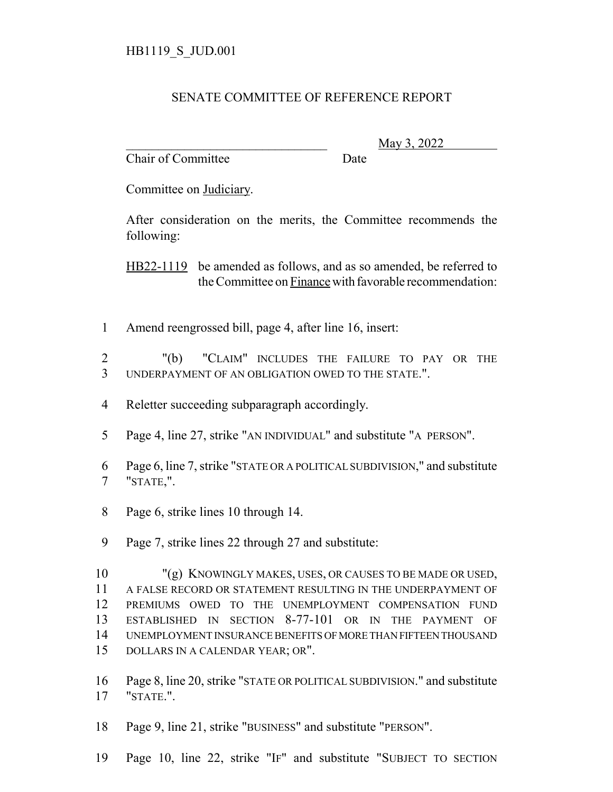## SENATE COMMITTEE OF REFERENCE REPORT

Chair of Committee Date

\_\_\_\_\_\_\_\_\_\_\_\_\_\_\_\_\_\_\_\_\_\_\_\_\_\_\_\_\_\_\_ May 3, 2022

Committee on Judiciary.

After consideration on the merits, the Committee recommends the following:

HB22-1119 be amended as follows, and as so amended, be referred to the Committee on Finance with favorable recommendation:

Amend reengrossed bill, page 4, after line 16, insert:

 "(b) "CLAIM" INCLUDES THE FAILURE TO PAY OR THE UNDERPAYMENT OF AN OBLIGATION OWED TO THE STATE.".

- Reletter succeeding subparagraph accordingly.
- Page 4, line 27, strike "AN INDIVIDUAL" and substitute "A PERSON".
- Page 6, line 7, strike "STATE OR A POLITICAL SUBDIVISION," and substitute "STATE,".
- Page 6, strike lines 10 through 14.
- Page 7, strike lines 22 through 27 and substitute:

 "(g) KNOWINGLY MAKES, USES, OR CAUSES TO BE MADE OR USED, A FALSE RECORD OR STATEMENT RESULTING IN THE UNDERPAYMENT OF PREMIUMS OWED TO THE UNEMPLOYMENT COMPENSATION FUND ESTABLISHED IN SECTION 8-77-101 OR IN THE PAYMENT OF UNEMPLOYMENT INSURANCE BENEFITS OF MORE THAN FIFTEEN THOUSAND DOLLARS IN A CALENDAR YEAR; OR".

 Page 8, line 20, strike "STATE OR POLITICAL SUBDIVISION." and substitute "STATE.".

Page 9, line 21, strike "BUSINESS" and substitute "PERSON".

Page 10, line 22, strike "IF" and substitute "SUBJECT TO SECTION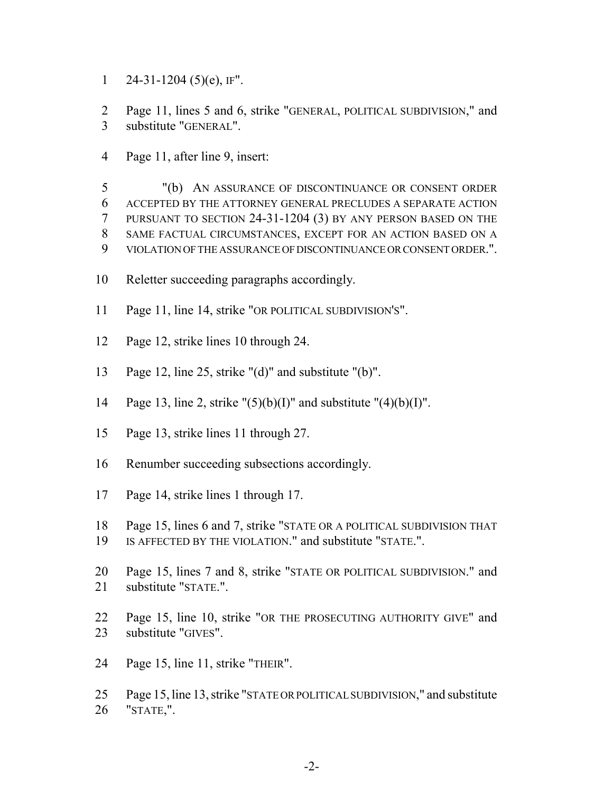1 24-31-1204 (5)(e), IF".

 Page 11, lines 5 and 6, strike "GENERAL, POLITICAL SUBDIVISION," and substitute "GENERAL".

Page 11, after line 9, insert:

 "(b) AN ASSURANCE OF DISCONTINUANCE OR CONSENT ORDER ACCEPTED BY THE ATTORNEY GENERAL PRECLUDES A SEPARATE ACTION PURSUANT TO SECTION 24-31-1204 (3) BY ANY PERSON BASED ON THE SAME FACTUAL CIRCUMSTANCES, EXCEPT FOR AN ACTION BASED ON A VIOLATION OF THE ASSURANCE OF DISCONTINUANCE OR CONSENT ORDER.".

- Reletter succeeding paragraphs accordingly.
- Page 11, line 14, strike "OR POLITICAL SUBDIVISION'S".
- Page 12, strike lines 10 through 24.
- Page 12, line 25, strike "(d)" and substitute "(b)".
- 14 Page 13, line 2, strike " $(5)(b)(I)$ " and substitute " $(4)(b)(I)$ ".
- Page 13, strike lines 11 through 27.
- Renumber succeeding subsections accordingly.
- Page 14, strike lines 1 through 17.
- Page 15, lines 6 and 7, strike "STATE OR A POLITICAL SUBDIVISION THAT
- IS AFFECTED BY THE VIOLATION." and substitute "STATE.".
- Page 15, lines 7 and 8, strike "STATE OR POLITICAL SUBDIVISION." and substitute "STATE.".
- Page 15, line 10, strike "OR THE PROSECUTING AUTHORITY GIVE" and substitute "GIVES".
- Page 15, line 11, strike "THEIR".
- Page 15, line 13, strike "STATE OR POLITICAL SUBDIVISION," and substitute "STATE,".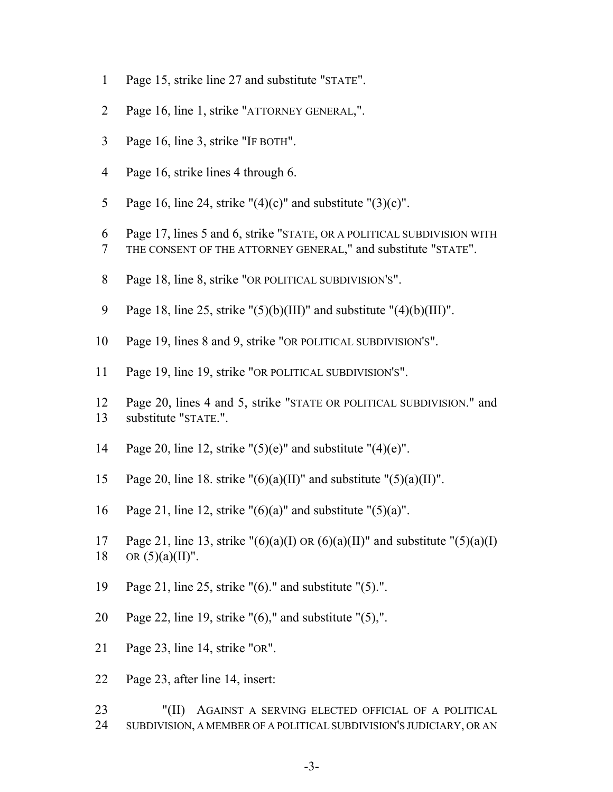- Page 15, strike line 27 and substitute "STATE".
- Page 16, line 1, strike "ATTORNEY GENERAL,".
- Page 16, line 3, strike "IF BOTH".
- Page 16, strike lines 4 through 6.
- 5 Page 16, line 24, strike " $(4)(c)$ " and substitute " $(3)(c)$ ".
- Page 17, lines 5 and 6, strike "STATE, OR A POLITICAL SUBDIVISION WITH
- THE CONSENT OF THE ATTORNEY GENERAL," and substitute "STATE".
- 8 Page 18, line 8, strike "OR POLITICAL SUBDIVISION'S".
- 9 Page 18, line 25, strike " $(5)(b)(III)$ " and substitute " $(4)(b)(III)$ ".
- Page 19, lines 8 and 9, strike "OR POLITICAL SUBDIVISION'S".
- Page 19, line 19, strike "OR POLITICAL SUBDIVISION'S".
- Page 20, lines 4 and 5, strike "STATE OR POLITICAL SUBDIVISION." and substitute "STATE.".
- 14 Page 20, line 12, strike " $(5)(e)$ " and substitute " $(4)(e)$ ".
- 15 Page 20, line 18. strike " $(6)(a)(II)$ " and substitute " $(5)(a)(II)$ ".
- 16 Page 21, line 12, strike " $(6)(a)$ " and substitute " $(5)(a)$ ".
- 17 Page 21, line 13, strike " $(6)(a)(I)$  OR  $(6)(a)(II)$ " and substitute " $(5)(a)(I)$ 18 OR  $(5)(a)(II)$ ".
- Page 21, line 25, strike "(6)." and substitute "(5).".
- Page 22, line 19, strike "(6)," and substitute "(5),".
- Page 23, line 14, strike "OR".
- Page 23, after line 14, insert:
- "(II) AGAINST A SERVING ELECTED OFFICIAL OF A POLITICAL SUBDIVISION, A MEMBER OF A POLITICAL SUBDIVISION'S JUDICIARY, OR AN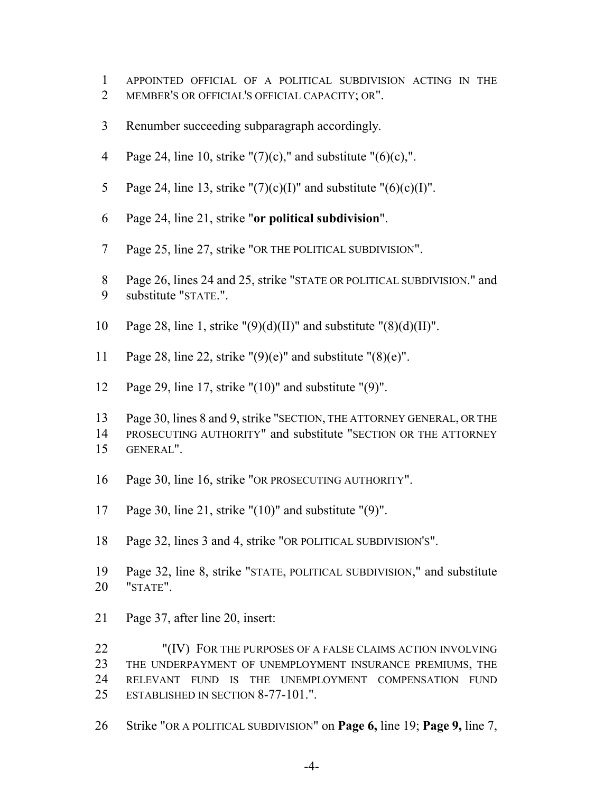- APPOINTED OFFICIAL OF A POLITICAL SUBDIVISION ACTING IN THE
- MEMBER'S OR OFFICIAL'S OFFICIAL CAPACITY; OR".
- Renumber succeeding subparagraph accordingly.
- 4 Page 24, line 10, strike " $(7)(c)$ ," and substitute " $(6)(c)$ ,".
- 5 Page 24, line 13, strike " $(7)(c)(I)$ " and substitute " $(6)(c)(I)$ ".
- Page 24, line 21, strike "**or political subdivision**".
- Page 25, line 27, strike "OR THE POLITICAL SUBDIVISION".
- Page 26, lines 24 and 25, strike "STATE OR POLITICAL SUBDIVISION." and substitute "STATE.".
- 10 Page 28, line 1, strike " $(9)(d)(II)$ " and substitute " $(8)(d)(II)$ ".
- 11 Page 28, line 22, strike " $(9)(e)$ " and substitute " $(8)(e)$ ".
- Page 29, line 17, strike "(10)" and substitute "(9)".
- Page 30, lines 8 and 9, strike "SECTION, THE ATTORNEY GENERAL, OR THE PROSECUTING AUTHORITY" and substitute "SECTION OR THE ATTORNEY GENERAL".
- Page 30, line 16, strike "OR PROSECUTING AUTHORITY".
- Page 30, line 21, strike "(10)" and substitute "(9)".
- Page 32, lines 3 and 4, strike "OR POLITICAL SUBDIVISION'S".
- Page 32, line 8, strike "STATE, POLITICAL SUBDIVISION," and substitute "STATE".
- Page 37, after line 20, insert:

 "(IV) FOR THE PURPOSES OF A FALSE CLAIMS ACTION INVOLVING THE UNDERPAYMENT OF UNEMPLOYMENT INSURANCE PREMIUMS, THE RELEVANT FUND IS THE UNEMPLOYMENT COMPENSATION FUND ESTABLISHED IN SECTION 8-77-101.".

Strike "OR A POLITICAL SUBDIVISION" on **Page 6,** line 19; **Page 9,** line 7,